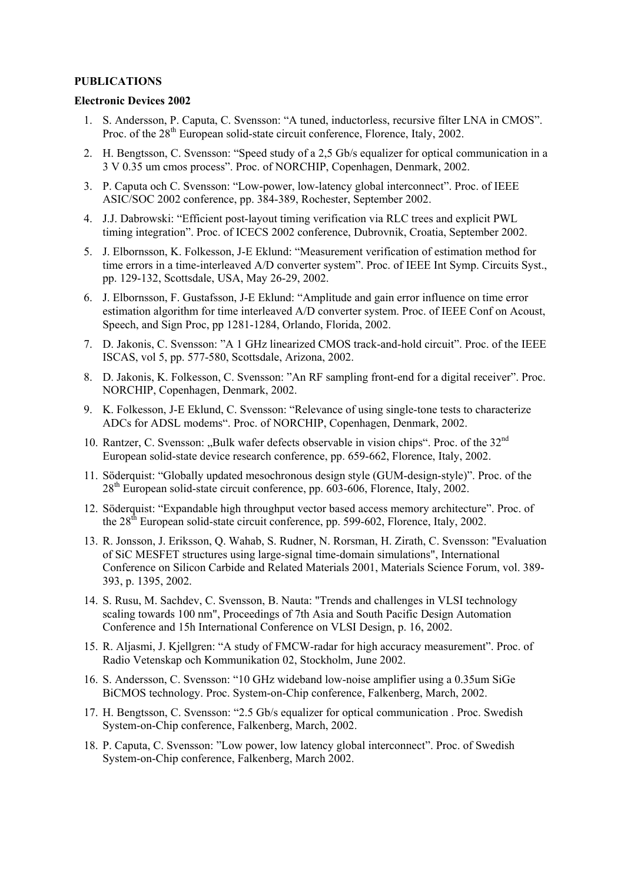## **PUBLICATIONS**

## **Electronic Devices 2002**

- 1. S. Andersson, P. Caputa, C. Svensson: "A tuned, inductorless, recursive filter LNA in CMOS". Proc. of the 28<sup>th</sup> European solid-state circuit conference, Florence, Italy, 2002.
- 2. H. Bengtsson, C. Svensson: "Speed study of a 2,5 Gb/s equalizer for optical communication in a 3 V 0.35 um cmos process". Proc. of NORCHIP, Copenhagen, Denmark, 2002.
- 3. P. Caputa och C. Svensson: "Low-power, low-latency global interconnect". Proc. of IEEE ASIC/SOC 2002 conference, pp. 384-389, Rochester, September 2002.
- 4. J.J. Dabrowski: "Efficient post-layout timing verification via RLC trees and explicit PWL timing integration". Proc. of ICECS 2002 conference, Dubrovnik, Croatia, September 2002.
- 5. J. Elbornsson, K. Folkesson, J-E Eklund: "Measurement verification of estimation method for time errors in a time-interleaved A/D converter system". Proc. of IEEE Int Symp. Circuits Syst., pp. 129-132, Scottsdale, USA, May 26-29, 2002.
- 6. J. Elbornsson, F. Gustafsson, J-E Eklund: "Amplitude and gain error influence on time error estimation algorithm for time interleaved A/D converter system. Proc. of IEEE Conf on Acoust, Speech, and Sign Proc, pp 1281-1284, Orlando, Florida, 2002.
- 7. D. Jakonis, C. Svensson: "A 1 GHz linearized CMOS track-and-hold circuit". Proc. of the IEEE ISCAS, vol 5, pp. 577-580, Scottsdale, Arizona, 2002.
- 8. D. Jakonis, K. Folkesson, C. Svensson: "An RF sampling front-end for a digital receiver". Proc. NORCHIP, Copenhagen, Denmark, 2002.
- 9. K. Folkesson, J-E Eklund, C. Svensson: "Relevance of using single-tone tests to characterize ADCs for ADSL modems". Proc. of NORCHIP, Copenhagen, Denmark, 2002.
- 10. Rantzer, C. Svensson: "Bulk wafer defects observable in vision chips". Proc. of the  $32<sup>nd</sup>$ European solid-state device research conference, pp. 659-662, Florence, Italy, 2002.
- 11. Söderquist: "Globally updated mesochronous design style (GUM-design-style)". Proc. of the 28<sup>th</sup> European solid-state circuit conference, pp. 603-606, Florence, Italy, 2002.
- 12. Söderquist: "Expandable high throughput vector based access memory architecture". Proc. of the  $28<sup>th</sup>$  European solid-state circuit conference, pp. 599-602, Florence, Italy, 2002.
- 13. R. Jonsson, J. Eriksson, Q. Wahab, S. Rudner, N. Rorsman, H. Zirath, C. Svensson: "Evaluation of SiC MESFET structures using large-signal time-domain simulations", International Conference on Silicon Carbide and Related Materials 2001, Materials Science Forum, vol. 389- 393, p. 1395, 2002.
- 14. S. Rusu, M. Sachdev, C. Svensson, B. Nauta: "Trends and challenges in VLSI technology scaling towards 100 nm", Proceedings of 7th Asia and South Pacific Design Automation Conference and 15h International Conference on VLSI Design, p. 16, 2002.
- 15. R. Aljasmi, J. Kjellgren: "A study of FMCW-radar for high accuracy measurement". Proc. of Radio Vetenskap och Kommunikation 02, Stockholm, June 2002.
- 16. S. Andersson, C. Svensson: "10 GHz wideband low-noise amplifier using a 0.35um SiGe BiCMOS technology. Proc. System-on-Chip conference, Falkenberg, March, 2002.
- 17. H. Bengtsson, C. Svensson: "2.5 Gb/s equalizer for optical communication . Proc. Swedish System-on-Chip conference, Falkenberg, March, 2002.
- 18. P. Caputa, C. Svensson: "Low power, low latency global interconnect". Proc. of Swedish System-on-Chip conference, Falkenberg, March 2002.